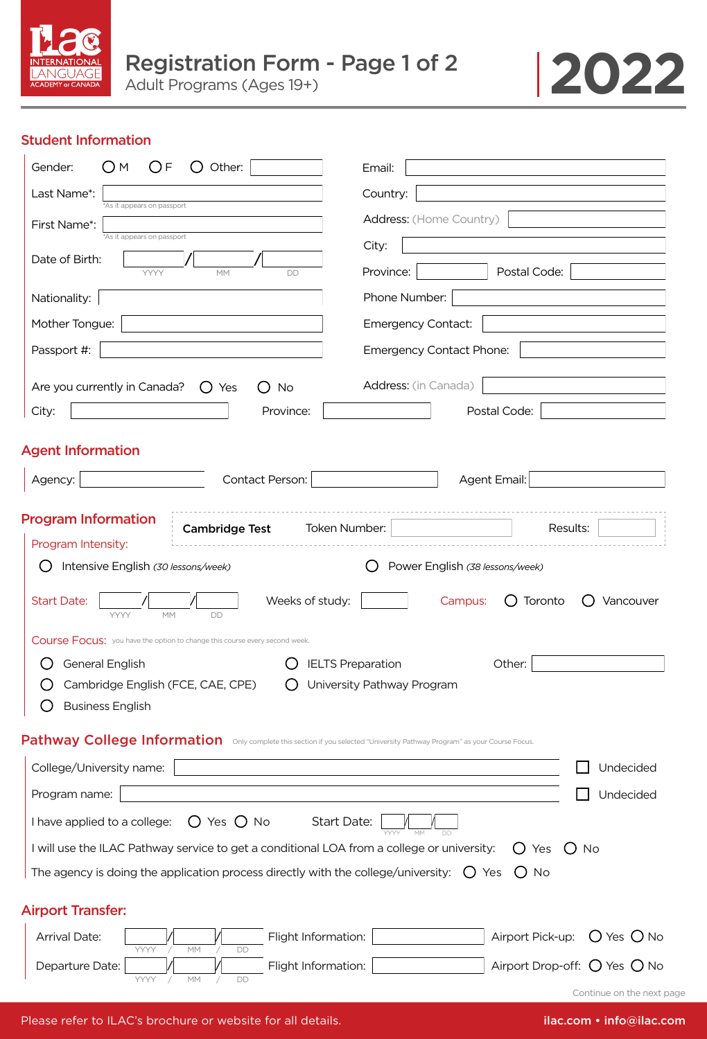



## Student Information

| Gender:<br>( ) F<br>Other:<br>M                                                                                           | Email:                                         |  |  |  |  |
|---------------------------------------------------------------------------------------------------------------------------|------------------------------------------------|--|--|--|--|
| Last Name*:<br>*As it appears on passport                                                                                 | Country:                                       |  |  |  |  |
| First Name*:                                                                                                              | Address: (Home Country)                        |  |  |  |  |
| *As it appears on passport<br>Date of Birth:                                                                              | City:                                          |  |  |  |  |
| YYYY<br><b>MM</b><br><b>DD</b>                                                                                            | Postal Code:<br>Province:                      |  |  |  |  |
| Nationality:                                                                                                              | Phone Number:                                  |  |  |  |  |
| Mother Tongue:                                                                                                            | <b>Emergency Contact:</b>                      |  |  |  |  |
| Passport #:                                                                                                               | Emergency Contact Phone:                       |  |  |  |  |
| Are you currently in Canada?<br>$\bigcirc$ Yes<br><b>No</b><br>( )                                                        | Address: (in Canada)                           |  |  |  |  |
| City:<br>Province:                                                                                                        | Postal Code:                                   |  |  |  |  |
| <b>Agent Information</b>                                                                                                  |                                                |  |  |  |  |
| Contact Person:<br>Agency:                                                                                                | Agent Email:                                   |  |  |  |  |
|                                                                                                                           |                                                |  |  |  |  |
| <b>Program Information</b><br>Token Number:<br><b>Cambridge Test</b>                                                      | Results:                                       |  |  |  |  |
| Program Intensity:                                                                                                        |                                                |  |  |  |  |
| Intensive English (30 lessons/week)                                                                                       | Power English (38 lessons/week)                |  |  |  |  |
| <b>Start Date:</b><br>Weeks of study:<br>MM<br><b>YYYY</b><br><b>DD</b>                                                   | Toronto<br>Campus:<br>Vancouver                |  |  |  |  |
| Course Focus: you have the option to change this course every second week.                                                |                                                |  |  |  |  |
| General English                                                                                                           | <b>IELTS Preparation</b><br>Other:             |  |  |  |  |
| Cambridge English (FCE, CAE, CPE)                                                                                         | University Pathway Program                     |  |  |  |  |
| <b>Business English</b>                                                                                                   |                                                |  |  |  |  |
| Pathway College Information Only complete this section if you selected "University Pathway Program" as your Course Focus. |                                                |  |  |  |  |
| College/University name:                                                                                                  | Undecided                                      |  |  |  |  |
| Program name:                                                                                                             | Undecided                                      |  |  |  |  |
| I have applied to a college:<br>$O$ Yes $O$ No<br>Start Date:                                                             |                                                |  |  |  |  |
| I will use the ILAC Pathway service to get a conditional LOA from a college or university:                                | $\bigcup$ Yes<br>$O$ No                        |  |  |  |  |
| The agency is doing the application process directly with the college/university: $\bigcirc$ Yes                          | $O$ No                                         |  |  |  |  |
| <b>Airport Transfer:</b>                                                                                                  |                                                |  |  |  |  |
| Flight Information:<br>Arrival Date:                                                                                      | Airport Pick-up:<br>$O$ Yes $O$ No             |  |  |  |  |
| YYYY<br>MM<br>DD<br>Flight Information:<br>Departure Date:                                                                | Airport Drop-off: $\bigcirc$ Yes $\bigcirc$ No |  |  |  |  |
| YYYY<br>MM<br>DD                                                                                                          | Continue on the next page                      |  |  |  |  |

Please refer to ILAC's brochure or website for all details. **info@ilac.com • info@ilac.com** • info@ilac.com